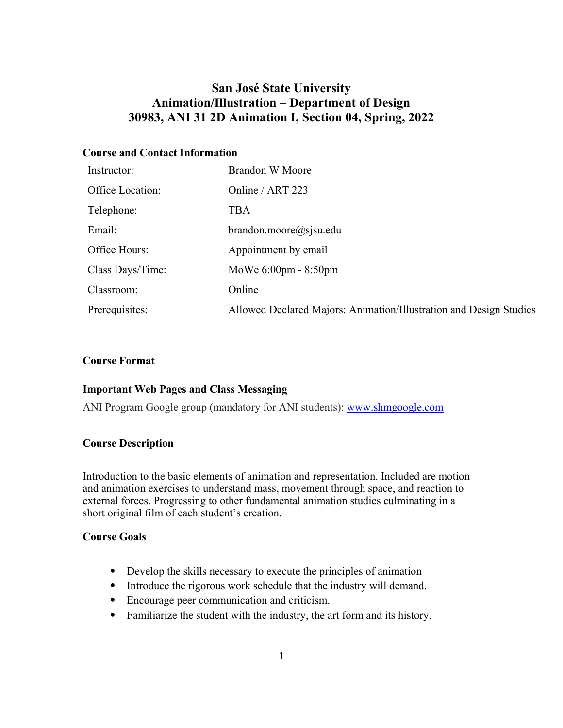# **San José State University Animation/Illustration – Department of Design 30983, ANI 31 2D Animation I, Section 04, Spring, 2022**

# **Course and Contact Information**

| Instructor:      | <b>Brandon W Moore</b>                                             |
|------------------|--------------------------------------------------------------------|
| Office Location: | Online / ART 223                                                   |
| Telephone:       | TBA                                                                |
| Email:           | brandon.moore@sjsu.edu                                             |
| Office Hours:    | Appointment by email                                               |
| Class Days/Time: | MoWe 6:00pm - 8:50pm                                               |
| Classroom:       | Online                                                             |
| Prerequisites:   | Allowed Declared Majors: Animation/Illustration and Design Studies |

# **Course Format**

# **Important Web Pages and Class Messaging**

ANI Program Google group (mandatory for ANI students): www.shmgoogle.com

## **Course Description**

Introduction to the basic elements of animation and representation. Included are motion and animation exercises to understand mass, movement through space, and reaction to external forces. Progressing to other fundamental animation studies culminating in a short original film of each student's creation.

# **Course Goals**

- ⦁ Develop the skills necessary to execute the principles of animation
- ⦁ Introduce the rigorous work schedule that the industry will demand.
- ⦁ Encourage peer communication and criticism.
- ⦁ Familiarize the student with the industry, the art form and its history.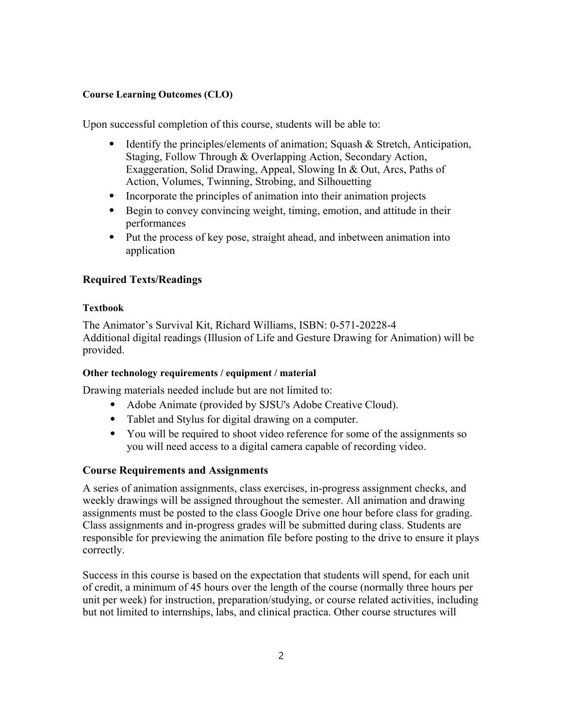### **Course Learning Outcomes (CLO)**

Upon successful completion of this course, students will be able to:

- ⦁ Identify the principles/elements of animation; Squash & Stretch, Anticipation, Staging, Follow Through & Overlapping Action, Secondary Action, Exaggeration, Solid Drawing, Appeal, Slowing In & Out, Arcs, Paths of Action, Volumes, Twinning, Strobing, and Silhouetting
- ⦁ Incorporate the principles of animation into their animation projects
- ⦁ Begin to convey convincing weight, timing, emotion, and attitude in their performances
- ⦁ Put the process of key pose, straight ahead, and inbetween animation into application

## **Required Texts/Readings**

#### **Textbook**

The Animator's Survival Kit, Richard Williams, ISBN: 0-571-20228-4 Additional digital readings (Illusion of Life and Gesture Drawing for Animation) will be provided.

#### **Other technology requirements / equipment / material**

Drawing materials needed include but are not limited to:

- ⦁ Adobe Animate (provided by SJSU's Adobe Creative Cloud).
- ⦁ Tablet and Stylus for digital drawing on a computer.
- ⦁ You will be required to shoot video reference for some of the assignments so you will need access to a digital camera capable of recording video.

## **Course Requirements and Assignments**

A series of animation assignments, class exercises, in-progress assignment checks, and weekly drawings will be assigned throughout the semester. All animation and drawing assignments must be posted to the class Google Drive one hour before class for grading. Class assignments and in-progress grades will be submitted during class. Students are responsible for previewing the animation file before posting to the drive to ensure it plays correctly.

Success in this course is based on the expectation that students will spend, for each unit of credit, a minimum of 45 hours over the length of the course (normally three hours per unit per week) for instruction, preparation/studying, or course related activities, including but not limited to internships, labs, and clinical practica. Other course structures will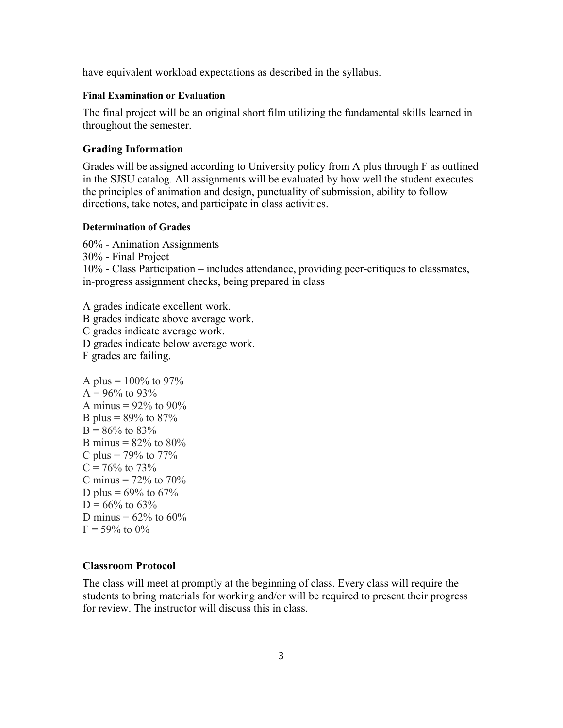have equivalent workload expectations as described in the syllabus.

#### **Final Examination or Evaluation**

The final project will be an original short film utilizing the fundamental skills learned in throughout the semester.

#### **Grading Information**

Grades will be assigned according to University policy from A plus through F as outlined in the SJSU catalog. All assignments will be evaluated by how well the student executes the principles of animation and design, punctuality of submission, ability to follow directions, take notes, and participate in class activities.

#### **Determination of Grades**

60% - Animation Assignments 30% - Final Project 10% - Class Participation – includes attendance, providing peer-critiques to classmates, in-progress assignment checks, being prepared in class

A grades indicate excellent work. B grades indicate above average work. C grades indicate average work. D grades indicate below average work. F grades are failing.

```
A plus = 100\% to 97%
A = 96\% to 93%
A minus = 92\% to 90\%B plus = 89\% to 87\%B = 86\% to 83%
B minus = 82\% to 80\%C plus = 79\% to 77\%C = 76\% to 73%
C minus = 72\% to 70\%D plus = 69\% to 67\%D = 66\% to 63%
D minus = 62\% to 60\%F = 59\% to 0%
```
## **Classroom Protocol**

The class will meet at promptly at the beginning of class. Every class will require the students to bring materials for working and/or will be required to present their progress for review. The instructor will discuss this in class.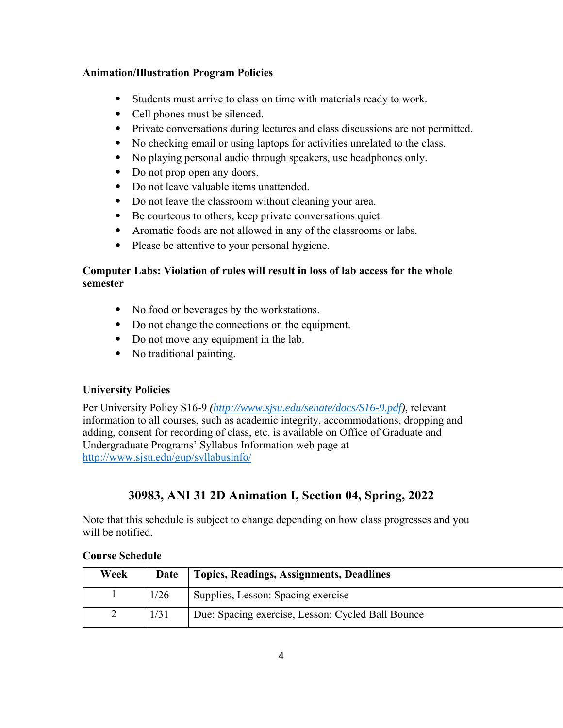# **Animation/Illustration Program Policies**

- ⦁ Students must arrive to class on time with materials ready to work.
- ⦁ Cell phones must be silenced.
- ⦁ Private conversations during lectures and class discussions are not permitted.
- ⦁ No checking email or using laptops for activities unrelated to the class.
- ⦁ No playing personal audio through speakers, use headphones only.
- Do not prop open any doors.
- ⦁ Do not leave valuable items unattended.
- ⦁ Do not leave the classroom without cleaning your area.
- ⦁ Be courteous to others, keep private conversations quiet.
- ⦁ Aromatic foods are not allowed in any of the classrooms or labs.
- ⦁ Please be attentive to your personal hygiene.

# **Computer Labs: Violation of rules will result in loss of lab access for the whole semester**

- ⦁ No food or beverages by the workstations.
- ⦁ Do not change the connections on the equipment.
- ⦁ Do not move any equipment in the lab.
- ⦁ No traditional painting.

# **University Policies**

Per University Policy S16-9 *(http://www.sjsu.edu/senate/docs/S16-9.pdf)*, relevant information to all courses, such as academic integrity, accommodations, dropping and adding, consent for recording of class, etc. is available on Office of Graduate and Undergraduate Programs' Syllabus Information web page at http://www.sjsu.edu/gup/syllabusinfo/

# **30983, ANI 31 2D Animation I, Section 04, Spring, 2022**

Note that this schedule is subject to change depending on how class progresses and you will be notified.

# **Course Schedule**

| Week | <b>Date</b> | Topics, Readings, Assignments, Deadlines          |
|------|-------------|---------------------------------------------------|
|      | 1/26        | Supplies, Lesson: Spacing exercise                |
|      | 1/31        | Due: Spacing exercise, Lesson: Cycled Ball Bounce |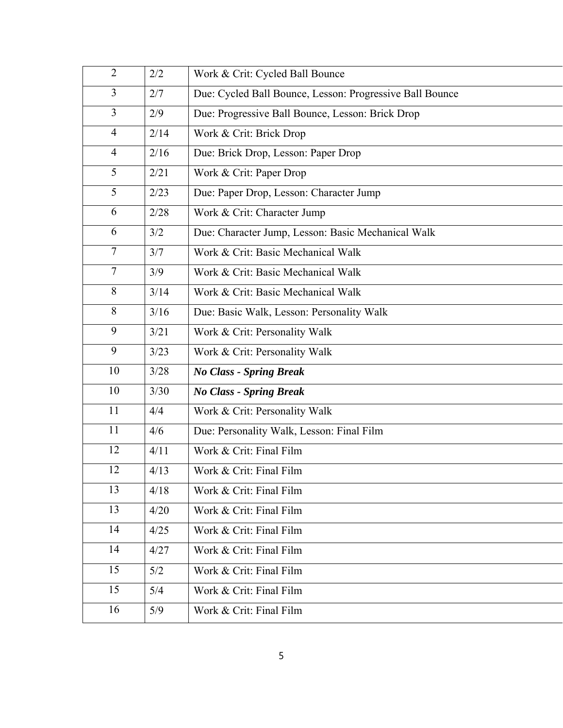| 2/2  | Work & Crit: Cycled Ball Bounce                          |
|------|----------------------------------------------------------|
| 2/7  | Due: Cycled Ball Bounce, Lesson: Progressive Ball Bounce |
| 2/9  | Due: Progressive Ball Bounce, Lesson: Brick Drop         |
| 2/14 | Work & Crit: Brick Drop                                  |
| 2/16 | Due: Brick Drop, Lesson: Paper Drop                      |
| 2/21 | Work & Crit: Paper Drop                                  |
| 2/23 | Due: Paper Drop, Lesson: Character Jump                  |
| 2/28 | Work & Crit: Character Jump                              |
| 3/2  | Due: Character Jump, Lesson: Basic Mechanical Walk       |
| 3/7  | Work & Crit: Basic Mechanical Walk                       |
| 3/9  | Work & Crit: Basic Mechanical Walk                       |
| 3/14 | Work & Crit: Basic Mechanical Walk                       |
| 3/16 | Due: Basic Walk, Lesson: Personality Walk                |
| 3/21 | Work & Crit: Personality Walk                            |
| 3/23 | Work & Crit: Personality Walk                            |
| 3/28 | <b>No Class - Spring Break</b>                           |
| 3/30 | <b>No Class - Spring Break</b>                           |
| 4/4  | Work & Crit: Personality Walk                            |
| 4/6  | Due: Personality Walk, Lesson: Final Film                |
| 4/11 | Work & Crit: Final Film                                  |
| 4/13 | Work & Crit: Final Film                                  |
| 4/18 | Work & Crit: Final Film                                  |
| 4/20 | Work & Crit: Final Film                                  |
| 4/25 | Work & Crit: Final Film                                  |
| 4/27 | Work & Crit: Final Film                                  |
|      | Work & Crit: Final Film                                  |
|      |                                                          |
| 5/4  | Work & Crit: Final Film                                  |
|      | 5/2                                                      |